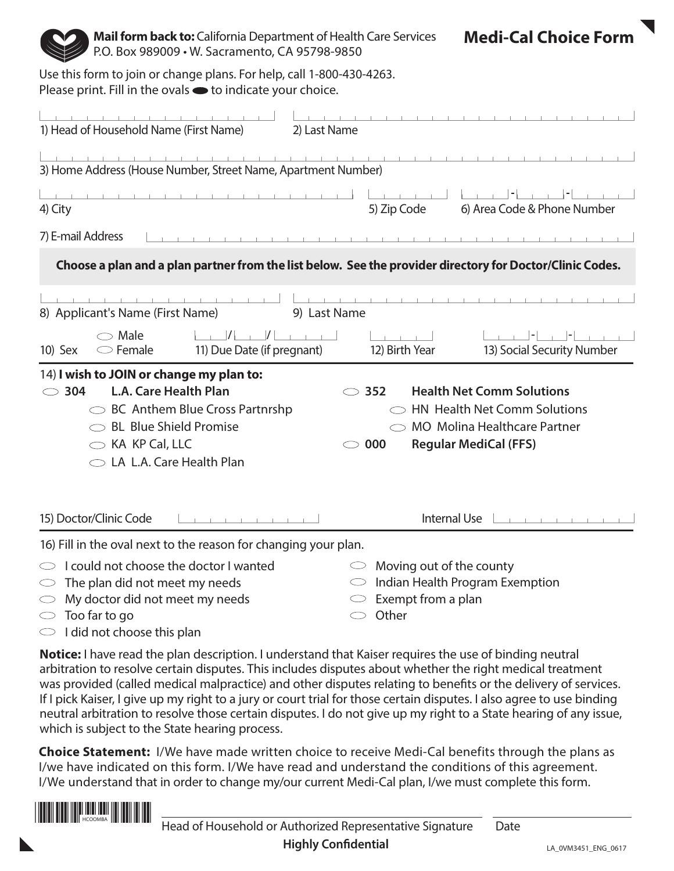

**Mail form back to:** California Department of Health Care Services P.O. Box 989009 • W. Sacramento, CA 95798-9850

**Medi-Cal Choice Form** 

Use this form to join or change plans. For help, call 1-800-430-4263. Please print. Fill in the ovals  $\bullet$  to indicate your choice.

| 1) Head of Household Name (First Name)<br>2) Last Name                                                                                                                                                                            |                                                                                                                                                                      |
|-----------------------------------------------------------------------------------------------------------------------------------------------------------------------------------------------------------------------------------|----------------------------------------------------------------------------------------------------------------------------------------------------------------------|
|                                                                                                                                                                                                                                   |                                                                                                                                                                      |
| 3) Home Address (House Number, Street Name, Apartment Number)                                                                                                                                                                     |                                                                                                                                                                      |
| 4) City                                                                                                                                                                                                                           | 5) Zip Code<br>6) Area Code & Phone Number                                                                                                                           |
| 7) E-mail Address                                                                                                                                                                                                                 |                                                                                                                                                                      |
| Choose a plan and a plan partner from the list below. See the provider directory for Doctor/Clinic Codes.                                                                                                                         |                                                                                                                                                                      |
| 8) Applicant's Name (First Name)<br>9) Last Name                                                                                                                                                                                  |                                                                                                                                                                      |
| $\begin{bmatrix} 1 & 1 \end{bmatrix}$<br>$\bigcirc$ Male<br>11) Due Date (if pregnant)<br>$\circ$ Female<br>10) Sex                                                                                                               | 12) Birth Year<br>13) Social Security Number                                                                                                                         |
| 14) I wish to JOIN or change my plan to:<br><b>L.A. Care Health Plan</b><br>304<br>$\bigcirc$<br>$\circ$ BC Anthem Blue Cross Partnrshp<br>$\circ$ BL Blue Shield Promise<br>$\circ$ KA KP Cal, LLC<br>◯ LA L.A. Care Health Plan | <b>Health Net Comm Solutions</b><br>$\circ$ 352<br><b>HN Health Net Comm Solutions</b><br><b>MO</b> Molina Healthcare Partner<br><b>Regular MediCal (FFS)</b><br>000 |
| 15) Doctor/Clinic Code<br>the contract of the contract of                                                                                                                                                                         | Internal Use                                                                                                                                                         |
| 16) Fill in the oval next to the reason for changing your plan.                                                                                                                                                                   |                                                                                                                                                                      |
| I could not choose the doctor I wanted<br>The plan did not meet my needs                                                                                                                                                          | Moving out of the county<br>Indian Health Program Exemption<br>$\circlearrowright$                                                                                   |

- $\heartsuit$  My doctor did not meet my needs
- $\circ$  Too far to go
- $\circ$  I did not choose this plan
- $\heartsuit$  Exempt from a plan
- $\circ$  Other

**Notice:** I have read the plan description. I understand that Kaiser requires the use of binding neutral arbitration to resolve certain disputes. This includes disputes about whether the right medical treatment was provided (called medical malpractice) and other disputes relating to benefits or the delivery of services. If I pick Kaiser, I give up my right to a jury or court trial for those certain disputes. I also agree to use binding neutral arbitration to resolve those certain disputes. I do not give up my right to a State hearing of any issue, which is subject to the State hearing process.

**Choice Statement:** I/We have made written choice to receive Medi-Cal benefits through the plans as I/we have indicated on this form. I/We have read and understand the conditions of this agreement. I/We understand that in order to change my/our current Medi-Cal plan, I/we must complete this form.

HCOOMBA